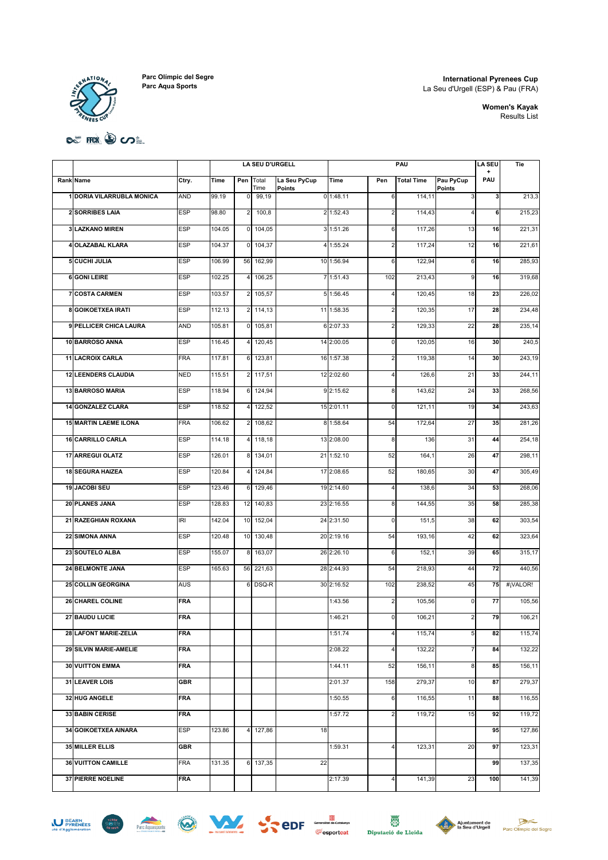

**International Pyrenees Cup**  La Seu d'Urgell (ESP) & Pau (FRA)

> **Women's Kayak**  Results List

## **DE FOR SO COLL**

|                              |            |        |                 | LA SEU D'URGELL |                        | PAU         |                         |                   | <b>LA SEU</b><br>÷         | Tie |          |
|------------------------------|------------|--------|-----------------|-----------------|------------------------|-------------|-------------------------|-------------------|----------------------------|-----|----------|
| <b>Rank Name</b>             | Ctry.      | Time   | Pen             | Total<br>Time   | La Seu PyCup<br>Points | Time        | Pen                     | <b>Total Time</b> | Pau PyCup<br><b>Points</b> | PAU |          |
| 1 DORIA VILARRUBLA MONICA    | <b>AND</b> | 99.19  | 0               | 99,19           |                        | $0$ 1:48.11 | 6                       | 114,11            | 3                          | 3   | 213,3    |
| <b>2 SORRIBES LAIA</b>       | <b>ESP</b> | 98.80  | $\overline{2}$  | 100,8           |                        | 2 1:52.43   | $\overline{2}$          | 114.43            | $\overline{4}$             | 6   | 215,23   |
| <b>3 LAZKANO MIREN</b>       | ESP        | 104.05 | 0               | 104,05          |                        | 31:51.26    | $6\phantom{.}6$         | 117,26            | 13                         | 16  | 221,31   |
| 4 OLAZABAL KLARA             | <b>ESP</b> | 104.37 | $\mathbf{0}$    | 104,37          |                        | 4 1:55.24   | $\overline{2}$          | 117,24            | 12                         | 16  | 221,61   |
| <b>5 CUCHI JULIA</b>         | <b>ESP</b> | 106.99 | 56              | 162,99          |                        | 10 1:56.94  | 6                       | 122,94            | $6\phantom{.}6$            | 16  | 285,93   |
| <b>6 GONI LEIRE</b>          | ESP        | 102.25 | $\overline{4}$  | 106,25          |                        | 7 1:51.43   | 102                     | 213,43            | 9                          | 16  | 319,68   |
| <b>7 COSTA CARMEN</b>        | ESP        | 103.57 | 2               | 105.57          |                        | 5 1:56.45   | $\overline{4}$          | 120,45            | 18                         | 23  | 226,02   |
| 8 GOIKOETXEA IRATI           | ESP        | 112.13 | 2               | 114,13          |                        | 11 1:58.35  | $\overline{2}$          | 120,35            | 17                         | 28  | 234,48   |
| 9 PELLICER CHICA LAURA       | <b>AND</b> | 105.81 | οI              | 105,81          |                        | 6 2:07.33   | $\overline{2}$          | 129,33            | 22                         | 28  | 235,14   |
| 10 BARROSO ANNA              | ESP        | 116.45 | $\overline{4}$  | 120,45          |                        | 14 2:00.05  | $\pmb{0}$               | 120,05            | 16                         | 30  | 240,5    |
| 11 LACROIX CARLA             | <b>FRA</b> | 117.81 |                 | 6 123,81        |                        | 16 1:57.38  | $\overline{2}$          | 119,38            | 14                         | 30  | 243,19   |
| <b>12 LEENDERS CLAUDIA</b>   | <b>NED</b> | 115.51 | $\overline{2}$  | 117.51          |                        | 12 2:02.60  | $\overline{4}$          | 126,6             | 21                         | 33  | 244,11   |
| 13 BARROSO MARIA             | <b>ESP</b> | 118.94 |                 | 6 124,94        |                        | $9$ 2:15.62 | 8                       | 143,62            | 24                         | 33  | 268,56   |
| 14 GONZALEZ CLARA            | <b>ESP</b> | 118.52 | $\overline{4}$  | 122,52          |                        | 15 2:01.11  | $\pmb{0}$               | 121,11            | 19                         | 34  | 243,63   |
| <b>15 MARTIN LAEME ILONA</b> | FRA        | 106.62 | $\overline{2}$  | 108,62          |                        | 8 1:58.64   | 54                      | 172,64            | 27                         | 35  | 281,26   |
| 16 CARRILLO CARLA            | <b>ESP</b> | 114.18 |                 | 4 118,18        |                        | 13 2:08.00  | $\overline{8}$          | 136               | 31                         | 44  | 254,18   |
| 17 ARREGUI OLATZ             | ESP        | 126.01 |                 | 8 134,01        |                        | 21 1:52.10  | 52                      | 164,1             | 26                         | 47  | 298,11   |
| <b>18 SEGURA HAIZEA</b>      | ESP        | 120.84 | 4 <sup>1</sup>  | 124,84          |                        | 17 2:08.65  | 52                      | 180,65            | 30                         | 47  | 305,49   |
| 19JACOBI SEU                 | <b>ESP</b> | 123.46 | 6 <sup>1</sup>  | 129,46          |                        | 19 2:14.60  | $\overline{4}$          | 138,6             | 34                         | 53  | 268,06   |
| 20 PLANES JANA               | ESP        | 128.83 | 12              | 140,83          |                        | 23 2:16.55  | 8                       | 144,55            | 35                         | 58  | 285,38   |
| 21 RAZEGHIAN ROXANA          | IRI        | 142.04 | 10              | 152,04          |                        | 24 2:31.50  | $\mathbf 0$             | 151,5             | 38                         | 62  | 303,54   |
| 22 SIMONA ANNA               | <b>ESP</b> | 120.48 | 10 <sup>1</sup> | 130,48          |                        | 20 2:19.16  | 54                      | 193,16            | 42                         | 62  | 323,64   |
| 23 SOUTELO ALBA              | ESP        | 155.07 | $\bf{8}$        | 163,07          |                        | 26 2:26.10  | 6                       | 152,1             | 39                         | 65  | 315,17   |
| 24 BELMONTE JANA             | ESP        | 165.63 | 56              | 221.63          |                        | 28 2:44.93  | 54                      | 218,93            | 44                         | 72  | 440,56   |
| <b>25 COLLIN GEORGINA</b>    | <b>AUS</b> |        |                 | 6 DSQ-R         |                        | 30 2:16.52  | 102                     | 238,52            | 45                         | 75  | #¡VALOR! |
| 26 CHAREL COLINE             | <b>FRA</b> |        |                 |                 |                        | 1:43.56     | $\overline{2}$          | 105,56            | 0                          | 77  | 105,56   |
| 27 BAUDU LUCIE               | <b>FRA</b> |        |                 |                 |                        | 1:46.21     | $\Omega$                | 106,21            | $\mathfrak{p}$             | 79  | 106,21   |
| 28 LAFONT MARIE-ZELIA        | <b>FRA</b> |        |                 |                 |                        | 1:51.74     | 4                       | 115,74            | $\sqrt{5}$                 | 82  | 115,74   |
| 29 SILVIN MARIE-AMELIE       | <b>FRA</b> |        |                 |                 |                        | 2:08.22     | $\overline{4}$          | 132,22            | 7                          | 84  | 132,22   |
| <b>30 VUITTON EMMA</b>       | FRA        |        |                 |                 |                        | 1:44.11     | 52                      | 156,11            | 8                          | 85  | 156,11   |
| 31 LEAVER LOIS               | GBR        |        |                 |                 |                        | 2:01.37     | 158                     | 279,37            | 10                         | 87  | 279,37   |
| 32 HUG ANGELE                | FRA        |        |                 |                 |                        | 1:50.55     | 6                       | 116,55            | 11                         | 88  | 116,55   |
| 33 BABIN CERISE              | FRA        |        |                 |                 |                        | 1:57.72     | $\overline{2}$          | 119,72            | 15                         | 92  | 119,72   |
| 34 GOIKOETXEA AINARA         | ESP        | 123.86 |                 | 4 127,86        | 18                     |             |                         |                   |                            | 95  | 127,86   |
| 35 MILLER ELLIS              | <b>GBR</b> |        |                 |                 |                        | 1:59.31     | 4                       | 123,31            | 20                         | 97  | 123,31   |
| <b>36 VUITTON CAMILLE</b>    | <b>FRA</b> | 131.35 |                 | 6 137,35        | 22                     |             |                         |                   |                            | 99  | 137,35   |
| 37 PIERRE NOELINE            | FRA        |        |                 |                 |                        | 2:17.39     | $\overline{\mathbf{4}}$ | 141,39            | 23                         | 100 | 141,39   |











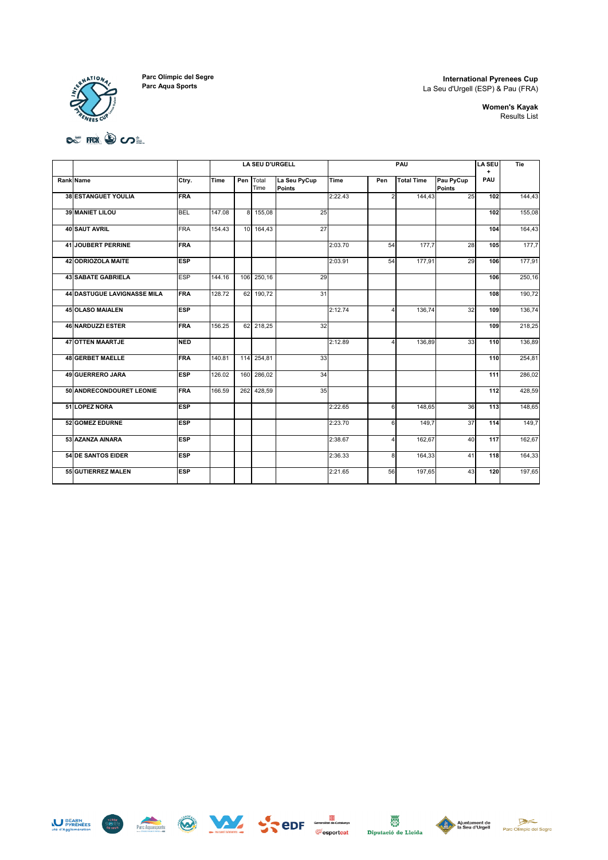HATION<sub>A</sub>

**Parc Olímpic del Segre Parc Aqua Sports**

#### **International Pyrenees Cup**  La Seu d'Urgell (ESP) & Pau (FRA)

**Women's Kayak**  Results List

## **DE FOR SO COLL**

|                             |            |        |     | <b>LA SEU D'URGELL</b> |                               |             | PAU            |                   | <b>LA SEU</b><br>$\ddotmark$ | Tie |        |
|-----------------------------|------------|--------|-----|------------------------|-------------------------------|-------------|----------------|-------------------|------------------------------|-----|--------|
| <b>Rank Name</b>            | Ctry.      | Time   | Pen | Total<br>Time          | La Seu PyCup<br><b>Points</b> | <b>Time</b> | Pen            | <b>Total Time</b> | Pau PyCup<br>Points          | PAU |        |
| <b>38 ESTANGUET YOULIA</b>  | <b>FRA</b> |        |     |                        |                               | 2:22.43     | $\overline{2}$ | 144,43            | 25                           | 102 | 144,43 |
| <b>39 MANIET LILOU</b>      | <b>BEL</b> | 147.08 |     | 8 155,08               | 25                            |             |                |                   |                              | 102 | 155,08 |
| 40 SAUT AVRIL               | <b>FRA</b> | 154.43 |     | 10 164.43              | 27                            |             |                |                   |                              | 104 | 164,43 |
| 41 JOUBERT PERRINE          | FRA        |        |     |                        |                               | 2:03.70     | 54             | 177.7             | 28                           | 105 | 177,7  |
| 42 ODRIOZOLA MAITE          | <b>ESP</b> |        |     |                        |                               | 2:03.91     | 54             | 177,91            | 29                           | 106 | 177,91 |
| <b>43 SABATE GABRIELA</b>   | <b>ESP</b> | 144.16 |     | 106 250,16             | 29                            |             |                |                   |                              | 106 | 250,16 |
| 44 DASTUGUE LAVIGNASSE MILA | <b>FRA</b> | 128.72 |     | 62 190,72              | 31                            |             |                |                   |                              | 108 | 190,72 |
| <b>45 OLASO MAIALEN</b>     | <b>ESP</b> |        |     |                        |                               | 2:12.74     | 4              | 136,74            | 32                           | 109 | 136,74 |
| <b>46 NARDUZZI ESTER</b>    | <b>FRA</b> | 156.25 |     | 62 218,25              | 32                            |             |                |                   |                              | 109 | 218,25 |
| <b>47 OTTEN MAARTJE</b>     | <b>NED</b> |        |     |                        |                               | 2:12.89     | $\overline{4}$ | 136,89            | 33                           | 110 | 136,89 |
| 48 GERBET MAELLE            | <b>FRA</b> | 140.81 |     | 114 254,81             | 33                            |             |                |                   |                              | 110 | 254,81 |
| 49 GUERRERO JARA            | <b>ESP</b> | 126.02 |     | 160 286,02             | 34                            |             |                |                   |                              | 111 | 286,02 |
| 50 ANDRECONDOURET LEONIE    | <b>FRA</b> | 166.59 |     | 262 428,59             | 35                            |             |                |                   |                              | 112 | 428,59 |
| 51 LOPEZ NORA               | <b>ESP</b> |        |     |                        |                               | 2:22.65     | 6              | 148,65            | 36                           | 113 | 148,65 |
| 52 GOMEZ EDURNE             | <b>ESP</b> |        |     |                        |                               | 2:23.70     | 6              | 149,7             | 37                           | 114 | 149,7  |
| 53 AZANZA AINARA            | <b>ESP</b> |        |     |                        |                               | 2:38.67     | $\overline{4}$ | 162,67            | 40                           | 117 | 162,67 |
| <b>54 DE SANTOS EIDER</b>   | <b>ESP</b> |        |     |                        |                               | 2:36.33     | 8              | 164,33            | 41                           | 118 | 164,33 |
| 55 GUTIERREZ MALEN          | <b>ESP</b> |        |     |                        |                               | 2:21.65     | 56             | 197,65            | 43                           | 120 | 197,65 |









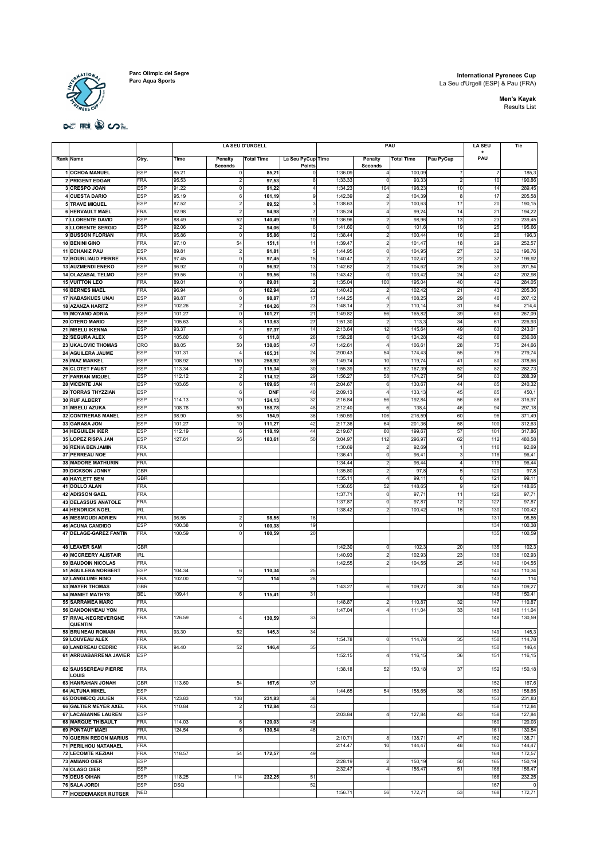

**International Pyrenees Cup**  La Seu d'Urgell (ESP) & Pau (FRA)

**Men's Kayak**  Results List

DE HOI DO L

|    |                                                       |                   |                      |                       | <b>LA SEU D'URGELL</b> |                             | PAU                |                           |                   | <b>LA SEU</b>        | Tie        |                  |
|----|-------------------------------------------------------|-------------------|----------------------|-----------------------|------------------------|-----------------------------|--------------------|---------------------------|-------------------|----------------------|------------|------------------|
|    | <b>Rank Name</b>                                      | Ctry.             | Time                 | Penalty<br>Seconds    | <b>Total Time</b>      | La Seu PyCup Time<br>Points |                    | Penalty<br><b>Seconds</b> | <b>Total Time</b> | Pau PyCup            | PAU        |                  |
|    | <b>OCHOA MANUEL</b>                                   | ESP               | 85.21                |                       | 85,21                  |                             | 1:36.09            |                           | 100,09            |                      |            | 185,3            |
|    | <b>PRIGENT EDGAR</b><br>3 CRESPO JOAN                 | FRA<br>ESP        | 95.53<br>91.22       | C                     | 97,53                  |                             | 1:33.33<br>1:34.23 | $\Omega$<br>104           | 93,33<br>198,23   | $\overline{2}$<br>10 | 10<br>14   | 190,86<br>289,45 |
|    | <b>4 CUESTA DARIO</b>                                 | ESP               | 95.19                | 6                     | 91,22<br>101,19        | 9                           | 1:42.39            |                           | 104,39            | 8                    | 17         | 205,58           |
|    | <b>5 TRAVE MIQUEL</b>                                 | ESP               | 87.52                | 2                     | 89,52                  | 3                           | 1:38.63            | 2                         | 100,63            | 17                   | 20         | 190,15           |
|    | 6 HERVAULT MAEL                                       | FRA               | 92.98                | $\mathfrak{p}$        | 94,98                  |                             | 1:35.24            | $\Delta$                  | 99,24             | 14                   | 21         | 194,22           |
|    | <b>7 LLORENTE DAVID</b>                               | ESP               | 88.49                | 52                    | 140,49                 | 10                          | 1:36.96            | 2                         | 98,96             | 13                   | 23         | 239,45           |
|    | 8 LLORENTE SERGIO<br>9 BUSSON FLORIAN                 | <b>ESP</b><br>FRA | 92.06<br>95.86       | $\Omega$              | 94,06<br>95,86         | 6<br>12                     | 1:41.60<br>1:38.44 | 0<br>2                    | 101.6<br>100,44   | 19<br>16             | 25<br>28   | 195,66<br>196,3  |
|    | 10 BENINI GINO                                        | FRA               | 97.10                | 54                    | 151,1                  | 11                          | 1:39.4             | 2                         | 101,47            | 18                   | 29         | 252,57           |
|    | <b>11 ECHANIZ PAU</b>                                 | ESP               | 89.81                | 2                     | 91,81                  | 5                           | 1:44.9             | $\Omega$                  | 104,95            | 27                   | 32         | 196,76           |
|    | <b>12 BOURLIAUD PIERRE</b>                            | FRA               | 97.45                | $\Omega$              | 97,45                  | 15                          | 1:40.4             | 2                         | 102,47            | 22                   | 37         | 199,92           |
|    | 13 AUZMENDI ENEKO<br>14 OLAZABAL TELMO                | ESP<br><b>ESP</b> | 96.92<br>99.56       | $\Omega$<br>0         | 96,92<br>99,56         | 13<br>18                    | 1:42.62<br>1:43.42 | 2<br>$\Omega$             | 104,62<br>103,42  | 26<br>24             | 39<br>42   | 201,54<br>202,98 |
|    | <b>15 VUITTON LEO</b>                                 | FRA               | 89.01                | 0                     | 89,01                  | $\overline{\mathbf{c}}$     | 1:35.04            | 100                       | 195,04            | 40                   | 42         | 284,05           |
|    | <b>16 BERNES MAEL</b>                                 | <b>FRA</b>        | 96.94                | 6                     | 102,94                 | 22                          | 1:40.42            | 2                         | 102,42            | 21                   | 43         | 205,36           |
|    | 17 NABASKUES UNAI                                     | ESP               | 98.87                |                       | 98,87                  | 17                          | 1:44.25            |                           | 108,25            | 29                   | 46         | 207,12           |
|    | 18 AZANZA HARITZ                                      | ESP               | 102.26               | $\mathfrak{p}$        | 104,26                 | 23                          | 1:48.14            | $\overline{2}$            | 110,14            | 31                   | 54         | 214,4            |
|    | 19 MOYANO ADRIA<br>20 OTERO MARIO                     | ESP<br><b>ESP</b> | 101.27<br>105.63     | я                     | 101,27<br>113,63       | 21<br>27                    | 1:49.8<br>1:51.30  | 56<br>2                   | 165,82<br>113.3   | 39<br>34             | 60<br>61   | 267,09<br>226,93 |
|    | 21 MBELU IKENNA                                       | ESP               | 93.37                | 4                     | 97,37                  | 14                          | 2:13.64            | 12                        | 145,64            | 49                   | 63         | 243,01           |
|    | 22 SEGURA ALEX                                        | <b>ESP</b>        | 105.80               | 6                     | 111,8                  | 26                          | 1:58.28            | 6                         | 124,28            | 42                   | 68         | 236,08           |
|    | <b>23 UKALOVIC THOMAS</b>                             | CRO               | 88.05                | 50                    | 138,05                 | 47                          | 1:42.6             | $\overline{4}$            | 106,6             | 28                   | 75         | 244,66           |
|    | 24 AGUILERA JAUME<br><b>25 IMAZ MARKEL</b>            | <b>ESP</b>        | 101.31               |                       | 105,31                 | 24                          | 2:00.43            | 54                        | 174,43            | 55                   | 79         | 279,74           |
|    | <b>26 CLOTET FAUST</b>                                | ESP<br>ESP        | 108.92<br>113.34     | 150                   | 258,92<br>115,34       | 39<br>30                    | 1:49.74<br>1:55.39 | 10<br>52                  | 119,74<br>167,39  | 41<br>52             | 80<br>82   | 378,66<br>282,73 |
| 27 | <b>FARRAN MIQUEL</b>                                  | ESP               | 112.12               | $\mathfrak{p}$        | 114,12                 | 29                          | 1:56.2             | 58                        | 174,27            | 54                   | 83         | 288,39           |
|    | 28 VICENTE JAN                                        | <b>ESP</b>        | 103.65               | 6                     | 109,65                 | 41                          | 2:04.67            | 6                         | 130,67            | 44                   | 85         | 240,32           |
|    | 29 TORRAS THYZZIAN                                    | <b>ESP</b>        |                      | 6                     | <b>DNF</b>             | 40                          | 2:09.13            | $\overline{4}$            | 133,13            | 45                   | 85         | 450,1            |
|    | 30 RUF ALBERT<br>31 MBELU AZUKA                       | <b>ESP</b><br>ESP | 114.13<br>108.78     | 10<br>50              | 124,13<br>158,78       | 32<br>48                    | 2:16.84<br>2:12.40 | 56<br>6                   | 192,84<br>138,4   | 56<br>46             | 88<br>94   | 316,97<br>297,18 |
|    | <b>32 CONTRERAS MANEL</b>                             | ESP               | 98.90                | 56                    | 154,9                  | 36                          | 1:50.59            | 106                       | 216,59            | 60                   | 96         | 371,49           |
|    | 33 GARASA JON                                         | <b>ESP</b>        | 101.27               | 10                    | 111,27                 | 42                          | 2:17.36            | 64                        | 201,36            | 58                   | 100        | 312,63           |
|    | <b>34 HEGUILEN IKER</b>                               | ESP               | 112.19               | 6                     | 118,19                 | 44                          | 2:19.6             | 60                        | 199,67            | 57                   | 101        | 317,86           |
|    | 35 LOPEZ RISPA JAN                                    | ESP               | 127.61               | 56                    | 183,61                 | 50                          | 3:04.97            | 112                       | 296,97            | 62                   | 112        | 480,58           |
|    | 36 RENIA BENJAMIN<br>37 PERREAU NOE                   | FRA<br>FRA        |                      |                       |                        |                             | 1:30.69<br>1:36.4  | 2<br>$\Omega$             | 92,69<br>96,4     | 3                    | 116<br>118 | 92,69<br>96,41   |
|    | <b>38 MADORE MATHURIN</b>                             | FRA               |                      |                       |                        |                             | 1:34.44            | 2                         | 96,44             |                      | 119        | 96,44            |
|    | 39 DICKSON JONNY                                      | GBR               |                      |                       |                        |                             | 1:35.80            | $\overline{\mathbf{2}}$   | 97,8              | 5                    | 120        | 97,8             |
|    | 40 HAYLETT BEN                                        | GBR               |                      |                       |                        |                             | 1:35.1             | $\overline{4}$            | 99,1'             | 6                    | 121        | 99,11            |
|    | 41 DOLLO ALAN<br><b>42 ADISSON GAEL</b>               | FRA<br>FRA        |                      |                       |                        |                             | 1:36.6<br>1:37.7   | 52<br>$\Omega$            | 148,65<br>97,7'   | 9<br>11              | 124<br>126 | 148,65<br>97,71  |
|    | <b>43 DELASSUS ANATOLE</b>                            | FRA               |                      |                       |                        |                             | 1:37.8             | $\Omega$                  | 97,87             | 12                   | 127        | 97,87            |
|    | <b>44 HENDRICK NOEL</b>                               | IRL               |                      |                       |                        |                             | 1:38.42            |                           | 100,42            | 15                   | 130        | 100,42           |
|    | <b>45 MESMOUDI ADRIEN</b>                             | FRA               | 96.55                |                       | 98,55                  | 16                          |                    |                           |                   |                      | 131        | 98,55            |
|    | <b>46 ACUNA CANDIDO</b><br>47 DELAGE-GAREZ FANTIN     | ESP<br><b>FRA</b> | 100.38<br>100.59     | 0<br>C                | 100,38<br>100,59       | 19<br>20                    |                    |                           |                   |                      | 134<br>135 | 100,38<br>100,59 |
|    |                                                       |                   |                      |                       |                        |                             |                    |                           |                   |                      |            |                  |
|    | <b>48 LEAVER SAM</b>                                  | GBR               |                      |                       |                        |                             | 1:42.30            | $\Omega$                  | 102.3             | 20                   | 135        | 102,3            |
|    | <b>49 MCCREERY ALISTAIR</b><br>50 BAUDOIN NICOLAS     | <b>IRL</b><br>FRA |                      |                       |                        |                             | 1:40.93<br>1:42.55 |                           | 102,93<br>104,55  | 23<br>25             | 138<br>140 | 102,93<br>104,55 |
|    | 51 AGUILERA NORBERT                                   | ESP               | 104.34               |                       | 110,34                 | 25                          |                    |                           |                   |                      | 140        | 110,34           |
|    | 52 LANGLUME NINO                                      | FRA               | 102.00               | 12                    | 114                    | 28                          |                    |                           |                   |                      | 143        | 114              |
|    | <b>53 MAYER THOMAS</b>                                | GBR               |                      |                       |                        |                             | 1:43.27            | 6                         | 109,27            | 30                   | 145        | 109,27           |
|    | <b>54 MANIET MATHYS</b><br><b>55 SARRAMEA MARC</b>    | BEL<br>FRA        | 109.41               | 6                     | 115,41                 | 31                          | 1:48.87            | $\overline{\mathbf{c}}$   | 110,87            | 32                   | 146<br>147 | 150,41<br>110,87 |
|    | 56 DANDONNEAU YON                                     | <b>FRA</b>        |                      |                       |                        |                             | 1:47.04            | $\Delta$                  | 111,04            | 33                   | 148        | 111,04           |
|    | 57 RIVAL-NEGREVERGNE<br><b>QUENTIN</b>                | FRA               | 126.59               | Δ                     | 130,59                 | 33                          |                    |                           |                   |                      | 148        | 130,59           |
|    | <b>58 BRUNEAU ROMAIN</b>                              | FRA               | 93.30                | 52                    | 145,3                  | 34                          |                    |                           |                   |                      | 149        | 145,3            |
|    | 59 LOUVEAU ALEX                                       | <b>FRA</b>        |                      |                       |                        |                             | 1:54.78            | 0                         | 114,78            | 35                   | 150        | 114,78           |
|    | 60 LANDREAU CEDRIC<br>61 ARRUABARRENA JAVIER          | FRA<br>ESP        | 94.40                | 52                    | 146,4                  | 35                          | 1:52.15            | $\overline{4}$            | 116,15            | 36                   | 150<br>151 | 146,4<br>116,15  |
|    | 62 SAUSSEREAU PIERRE<br>LOUIS                         | FRA               |                      |                       |                        |                             | 1:38.18            | 52                        | 150,18            | 37                   | 152        | 150,18           |
|    | 63 HANRAHAN JONAH                                     | GBR               | 113.60               | 54                    | 167,6                  | 37                          |                    |                           |                   |                      | 152        | 167,6            |
|    | <b>64 ALTUNA MIKEL</b>                                | ESP               |                      |                       |                        |                             | 1:44.65            | 54                        | 158,65            | 38                   | 153        | 158,65           |
|    | <b>65 DOUMECQ JULIEN</b><br>66 GALTIER MEYER AXEL     | FRA<br>FRA        | 123.83<br>110.84     | 108<br>$\overline{2}$ | 231,83<br>112,84       | 38<br>43                    |                    |                           |                   |                      | 153<br>158 | 231,83<br>112,84 |
|    | <b>67 LACABANNE LAUREN</b>                            | ESP               |                      |                       |                        |                             | 2:03.84            | Δ                         | 127,84            | 43                   | 158        | 127,84           |
|    | 68 MARQUE THIBAULT                                    | <b>FRA</b>        | 114.03               | 6                     | 120,03                 | 45                          |                    |                           |                   |                      | 160        | 120,03           |
|    | 69 PONTAUT MAEI                                       | FRA               | 124.54               | 6                     | 130,54                 | 46                          |                    |                           |                   |                      | 161        | 130,54           |
|    | <b>70 GUERIN REDON MARIUS</b><br>71 PERILHOU NATANAEL | <b>FRA</b><br>FRA |                      |                       |                        |                             | 2:10.7'<br>2:14.4  | 8<br>10                   | 138,7<br>144,47   | 47<br>48             | 162<br>163 | 138,71<br>144,47 |
|    | <b>72 LECOMTE KEZIAH</b>                              | <b>FRA</b>        | 118.57               | 54                    | 172,57                 | 49                          |                    |                           |                   |                      | 164        | 172,57           |
|    | <b>73 AMIANO OIER</b>                                 | ESP               |                      |                       |                        |                             | 2:28.19            | 2                         | 150,19            | 50                   | 165        | 150,19           |
|    | 74 OLASO OIER                                         | <b>ESP</b>        |                      |                       |                        |                             | 2:32.47            | $\Delta$                  | 156,47            | 51                   | 166        | 156,47           |
|    | <b>75 DEUS OIHAN</b><br>76 SALA JORDI                 | ESP<br><b>ESP</b> | 118.25<br><b>DSQ</b> | 114                   | 232,25                 | 51<br>52                    |                    |                           |                   |                      | 166<br>167 | 232,25           |
|    | 77 HOEDEMAKER RUTGER                                  | NED               |                      |                       |                        |                             | 1:56.7'            | 56                        | 172,71            | 53                   | 168        | 0<br>172,71      |
|    |                                                       |                   |                      |                       |                        |                             |                    |                           |                   |                      |            |                  |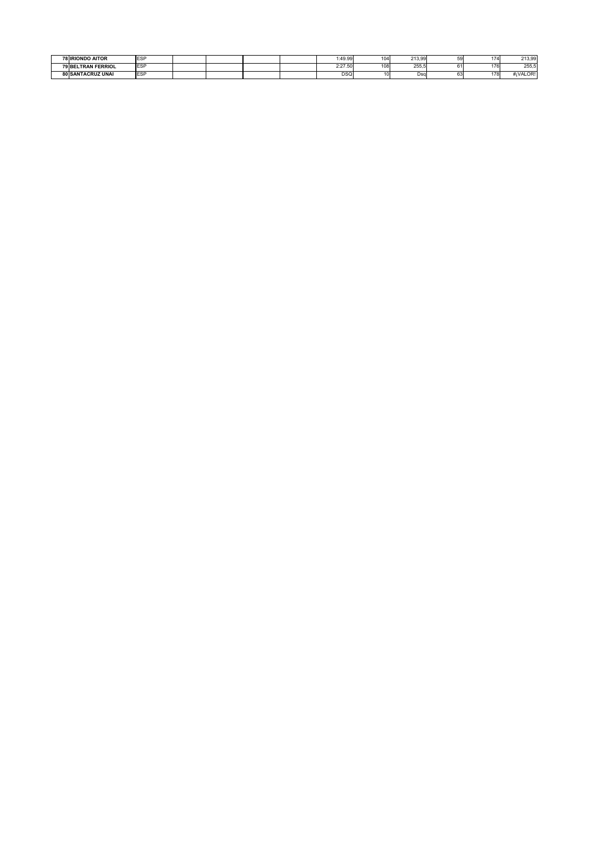| <b>78 IRIONDO AITOR</b>               | <b>LECE</b>     |  |  | 1:49.99          | 104 | 21300<br>210.99 | . | 174 | 213.99   |
|---------------------------------------|-----------------|--|--|------------------|-----|-----------------|---|-----|----------|
| <b>LTRAN FERRIOL</b><br><b>79 BEL</b> | ES <sup>'</sup> |  |  | 0.2750<br>2.21.9 | 108 | $- - -$<br>255. |   | 176 | 255,5    |
| <b>80 SANTACRUZ UNA</b>               | <b>ESF</b>      |  |  | <b>DSQ</b>       |     | Dsc             |   | 178 | #iVALOR! |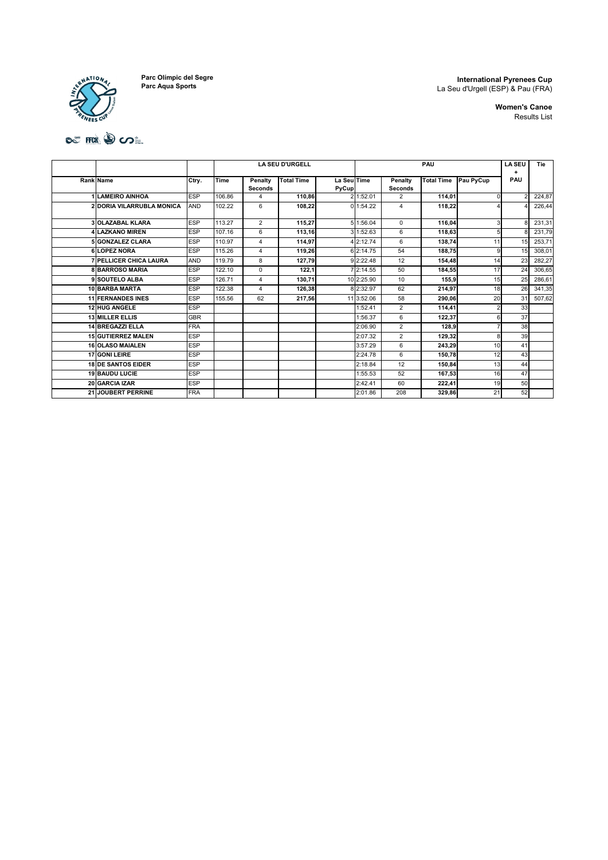

**International Pyrenees Cup**  La Seu d'Urgell (ESP) & Pau (FRA)

> **Women's Canoe**  Results List

# DE FER DOL

|                                  |            | <b>LA SEU D'URGELL</b> |                           |                   |                      |            | <b>LA SEU</b><br>÷        | Tie               |           |                |        |
|----------------------------------|------------|------------------------|---------------------------|-------------------|----------------------|------------|---------------------------|-------------------|-----------|----------------|--------|
| <b>Rank Name</b>                 | Ctry.      | Time                   | Penalty<br><b>Seconds</b> | <b>Total Time</b> | La Seu Time<br>PyCup |            | Penalty<br><b>Seconds</b> | <b>Total Time</b> | Pau PyCup | PAU            |        |
| <b>1 LAMEIRO AINHOA</b>          | <b>ESP</b> | 106.86                 | 4                         | 110.86            |                      | 2 1:52.01  | 2                         | 114.01            | $\Omega$  | $\mathcal{P}$  | 224,87 |
| <b>2 DORIA VILARRUBLA MONICA</b> | <b>AND</b> | 102.22                 | 6                         | 108.22            |                      | 0 1:54.22  | 4                         | 118.22            | 4         | $\overline{4}$ | 226,44 |
| <b>3 OLAZABAL KLARA</b>          | <b>ESP</b> | 113.27                 | $\overline{2}$            | 115.27            |                      | 5 1:56.04  | 0                         | 116.04            | 3         | 8              | 231,31 |
| <b>4 LAZKANO MIREN</b>           | <b>ESP</b> | 107.16                 | 6                         | 113,16            |                      | 3 1:52.63  | 6                         | 118,63            | 5         | 8              | 231,79 |
| 5 GONZALEZ CLARA                 | <b>ESP</b> | 110.97                 | 4                         | 114.97            |                      | 4 2:12.74  | 6                         | 138.74            | 11        | 15             | 253,71 |
| <b>6 LOPEZ NORA</b>              | <b>ESP</b> | 115.26                 | 4                         | 119.26            |                      | 6 2:14.75  | 54                        | 188.75            | 9         | 15             | 308,01 |
| <b>7 PELLICER CHICA LAURA</b>    | <b>AND</b> | 119.79                 | 8                         | 127.79            |                      | 9 2:22.48  | 12                        | 154.48            | 14        | 23             | 282,27 |
| <b>8 BARROSO MARIA</b>           | <b>ESP</b> | 122.10                 | $\mathbf 0$               | 122.1             |                      | 7 2:14.55  | 50                        | 184.55            | 17        | 24             | 306,65 |
| 9 SOUTELO ALBA                   | <b>ESP</b> | 126.71                 | 4                         | 130.71            |                      | 10 2:25.90 | 10                        | 155.9             | 15        | 25             | 286,61 |
| 10 BARBA MARTA                   | <b>ESP</b> | 122.38                 | 4                         | 126.38            |                      | 8 2:32.97  | 62                        | 214.97            | 18        | 26             | 341,35 |
| <b>11 FERNANDES INES</b>         | <b>ESP</b> | 155.56                 | 62                        | 217,56            |                      | 11 3:52.06 | 58                        | 290,06            | 20        | 31             | 507,62 |
| <b>12 HUG ANGELE</b>             | <b>ESP</b> |                        |                           |                   |                      | 1:52.41    | $\overline{2}$            | 114.41            | 2         | 33             |        |
| <b>13 MILLER ELLIS</b>           | <b>GBR</b> |                        |                           |                   |                      | 1:56.37    | 6                         | 122.37            | 6         | 37             |        |
| 14 BREGAZZI ELLA                 | <b>FRA</b> |                        |                           |                   |                      | 2:06.90    | $\overline{2}$            | 128.9             |           | 38             |        |
| <b>15 GUTIERREZ MALEN</b>        | <b>ESP</b> |                        |                           |                   |                      | 2:07.32    | $\overline{2}$            | 129,32            | 8         | 39             |        |
| <b>16 OLASO MAIALEN</b>          | <b>ESP</b> |                        |                           |                   |                      | 3:57.29    | 6                         | 243.29            | 10        | 41             |        |
| 17 GONI LEIRE                    | <b>ESP</b> |                        |                           |                   |                      | 2:24.78    | 6                         | 150,78            | 12        | 43             |        |
| <b>18 DE SANTOS EIDER</b>        | <b>ESP</b> |                        |                           |                   |                      | 2:18.84    | 12                        | 150,84            | 13        | 44             |        |
| <b>19 BAUDU LUCIE</b>            | <b>ESP</b> |                        |                           |                   |                      | 1:55.53    | 52                        | 167,53            | 16        | 47             |        |
| 20 GARCIA IZAR                   | <b>ESP</b> |                        |                           |                   |                      | 2:42.41    | 60                        | 222,41            | 19        | 50             |        |
| 21 JOUBERT PERRINE               | <b>FRA</b> |                        |                           |                   |                      | 2:01.86    | 208                       | 329,86            | 21        | 52             |        |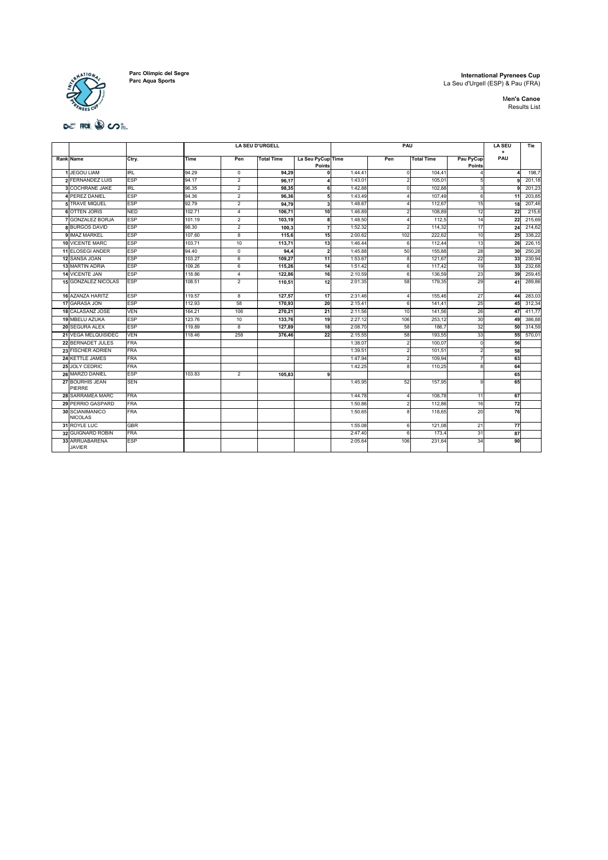$\overline{10}$ 

**Parc Olímpic del Segre Parc Aqua Sports**

#### **International Pyrenees Cup**  La Seu d'Urgell (ESP) & Pau (FRA)

M**en's Canoe**  Results List

DE HOI DO L

|                                   |            |        |                | <b>LA SEU D'URGELL</b> |                             |         |                         | <b>LA SEU</b><br>$\ddot{}$ | Tie                 |     |        |
|-----------------------------------|------------|--------|----------------|------------------------|-----------------------------|---------|-------------------------|----------------------------|---------------------|-----|--------|
| <b>Rank Name</b>                  | Ctry.      | Time   | Pen            | <b>Total Time</b>      | La Seu PyCup Time<br>Points |         | Pen                     | <b>Total Time</b>          | Pau PyCup<br>Points | PAU |        |
| 1 JEGOU LIAM                      | <b>IRL</b> | 94.29  | $\overline{0}$ | 94,29                  | $\Omega$                    | 1:44.4' | 0                       | 104.41                     |                     |     | 198,7  |
| <b>2 FERNANDEZ LUIS</b>           | <b>ESP</b> | 94.17  | $\overline{2}$ | 96.17                  |                             | 1:43.01 | $\overline{2}$          | 105.01                     | 5                   |     | 201,18 |
| <b>3 COCHRANE JAKE</b>            | <b>IRL</b> | 96.35  | $\overline{2}$ | 98.35                  | ĥ                           | 1:42.88 | $\Omega$                | 102,88                     | 3                   |     | 201,23 |
| <b>4 PEREZ DANIEL</b>             | <b>ESP</b> | 94.36  | $\overline{2}$ | 96,36                  | 5                           | 1:43.49 | Δ                       | 107,49                     | 6                   | 11  | 203,85 |
| <b>5 TRAVE MIQUEL</b>             | <b>ESP</b> | 92.79  | $\overline{2}$ | 94,79                  | 3                           | 1:48.67 | 4                       | 112.67                     | 15                  | 18  | 207,46 |
| <b>6 OTTEN JORIS</b>              | <b>NED</b> | 102.71 | $\overline{4}$ | 106,71                 | 10                          | 1:46.89 | $\overline{\mathbf{c}}$ | 108,89                     | 12                  | 22  | 215,6  |
| <b>7 GONZALEZ BORJA</b>           | <b>ESP</b> | 101.19 | $\overline{2}$ | 103,19                 | 8                           | 1:48.50 | 4                       | 112,5                      | 14                  | 22  | 215,69 |
| <b>8 BURGOS DAVID</b>             | <b>ESP</b> | 98.30  | $\overline{2}$ | 100.3                  | $\overline{7}$              | 1:52.32 | $\overline{a}$          | 114,32                     | 17                  | 24  | 214,62 |
| 9 IMAZ MARKEL                     | ESP        | 107.60 | 8              | 115,6                  | 15                          | 2:00.62 | 102                     | 222,62                     | 10                  | 25  | 338,22 |
| <b>10 VICENTE MARC</b>            | <b>ESP</b> | 103.71 | 10             | 113,71                 | 13                          | 1:46.44 | 6                       | 112,44                     | 13                  | 26  | 226,15 |
| 11 ELOSEGI ANDER                  | ESP        | 94.40  | $\overline{0}$ | 94,4                   | $\overline{2}$              | 1:45.88 | 50                      | 155,88                     | 28                  | 30  | 250,28 |
| 12 SANSA JOAN                     | <b>ESP</b> | 103.27 | 6              | 109.27                 | 11                          | 1:53.67 | 8                       | 121.67                     | 22                  | 33  | 230.94 |
| <b>13 MARTIN ADRIA</b>            | <b>ESP</b> | 109.26 | 6              | 115.26                 | 14                          | 1:51.42 | 6                       | 117.42                     | 19                  | 33  | 232.68 |
| <b>14 VICENTE JAN</b>             | <b>ESP</b> | 118.86 | $\overline{4}$ | 122.86                 | 16                          | 2:10.59 | 6                       | 136,59                     | 23                  | 39  | 259,45 |
| <b>15 GONZALEZ NICOLAS</b>        | <b>ESP</b> | 108.51 | $\overline{2}$ | 110,51                 | 12                          | 2:01.35 | 58                      | 179,35                     | 29                  | 41  | 289,86 |
| 16 AZANZA HARITZ                  | <b>ESP</b> | 119.57 | 8              | 127.57                 | 17                          | 2:31.46 | 4                       | 155,46                     | 27                  | 44  | 283,03 |
| 17 GARASA JON                     | <b>ESP</b> | 112.93 | 58             | 170.93                 | 20                          | 2:15.41 | 6                       | 141,41                     | 25                  | 45  | 312,34 |
| 18 CALASANZ JOSE                  | <b>VEN</b> | 164.21 | 106            | 270,21                 | 21                          | 2:11.56 | 10                      | 141,56                     | 26                  | 47  | 411,77 |
| <b>19 MBELU AZUKA</b>             | <b>ESP</b> | 123.76 | 10             | 133,76                 | 19                          | 2:27.12 | 106                     | 253,12                     | 30                  | 49  | 386,88 |
| 20 SEGURA ALEX                    | <b>ESP</b> | 119.89 | $\overline{8}$ | 127,89                 | 18                          | 2:08.70 | 58                      | 186,7                      | 32                  | 50  | 314,59 |
| 21 VEGA MELQUISIDEC               | <b>VEN</b> | 118.46 | 258            | 376,46                 | 22                          | 2:15.55 | 58                      | 193,55                     | 33                  | 55  | 570,01 |
| 22 BERNADET JULES                 | <b>FRA</b> |        |                |                        |                             | 1:38.07 | $\overline{\mathbf{c}}$ | 100,07                     | $\Omega$            | 56  |        |
| 23 FISCHER ADRIEN                 | <b>FRA</b> |        |                |                        |                             | 1:39.51 | $\overline{2}$          | 101,51                     | 2                   | 58  |        |
| 24 KETTLE JAMES                   | <b>FRA</b> |        |                |                        |                             | 1:47.94 | $\overline{a}$          | 109,94                     | 7                   | 63  |        |
| 25 JOLY CEDRIC                    | <b>FRA</b> |        |                |                        |                             | 1:42.25 | 8                       | 110,25                     | R                   | 64  |        |
| 26 MARZO DANIEL                   | <b>ESP</b> | 103.83 | $\overline{2}$ | 105.83                 | q                           |         |                         |                            |                     | 65  |        |
| 27 BOURHIS JEAN<br><b>PIERRE</b>  | <b>SEN</b> |        |                |                        |                             | 1:45.95 | 52                      | 157.95                     |                     | 65  |        |
| 28 SARRAMEA MARC                  | <b>FRA</b> |        |                |                        |                             | 1:44.78 | 4                       | 108.78                     | 11                  | 67  |        |
| 29 PERRIO GASPARD                 | <b>FRA</b> |        |                |                        |                             | 1:50.86 | 2                       | 112,86                     | 16                  | 72  |        |
| 30 SCIANIMANICO<br><b>NICOLAS</b> | <b>FRA</b> |        |                |                        |                             | 1:50.65 | 8                       | 118,65                     | 20                  | 76  |        |
| 31 ROYLE LUC                      | <b>GBR</b> |        |                |                        |                             | 1:55.08 | 6                       | 121,08                     | 21                  | 77  |        |
| 32 GUIGNARD ROBIN                 | <b>FRA</b> |        |                |                        |                             | 2:47.40 | 6                       | 173.4                      | 31                  | 87  |        |
| 33 ARRUABARENA<br><b>JAVIER</b>   | <b>ESP</b> |        |                |                        |                             | 2:05.64 | 106                     | 231,64                     | 34                  | 90  |        |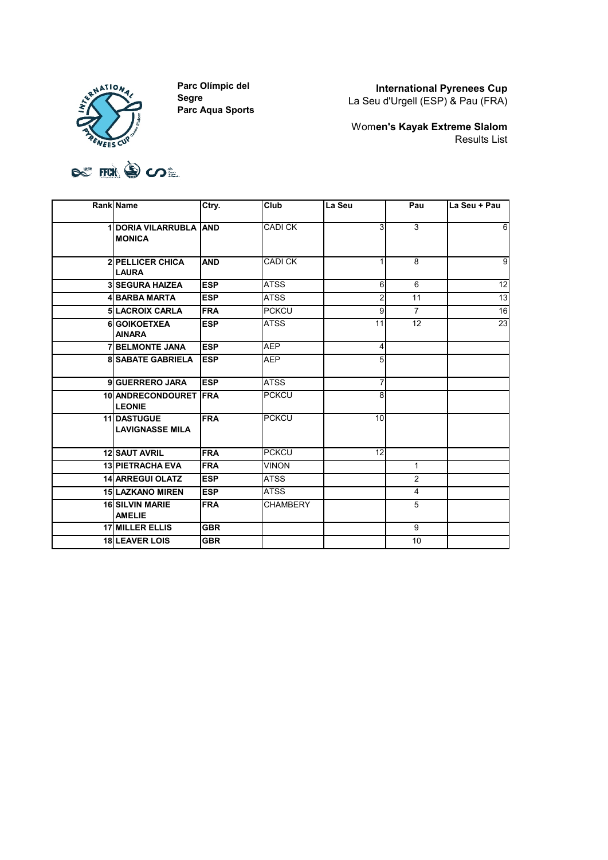

**International Pyrenees Cup**  La Seu d'Urgell (ESP) & Pau (FRA)

Wom**en's Kayak Extreme Slalom**  Results List



| <b>Rank Name</b>                               | Ctry.      | Club            | La Seu         | Pau             | La Seu + Pau    |
|------------------------------------------------|------------|-----------------|----------------|-----------------|-----------------|
| <b>1 DORIA VILARRUBLA AND</b><br><b>MONICA</b> |            | CADI CK         | 3              | 3               | 6               |
| <b>2 PELLICER CHICA</b><br><b>LAURA</b>        | <b>AND</b> | <b>CADI CK</b>  |                | 8               | 9               |
| <b>3 SEGURA HAIZEA</b>                         | <b>ESP</b> | <b>ATSS</b>     | 6              | 6               | $\overline{12}$ |
| <b>4 BARBA MARTA</b>                           | <b>ESP</b> | <b>ATSS</b>     | $\overline{2}$ | $\overline{11}$ | 13              |
| <b>5 LACROIX CARLA</b>                         | <b>FRA</b> | <b>PCKCU</b>    | 9              | $\overline{7}$  | 16              |
| <b>6</b> GOIKOETXEA<br><b>AINARA</b>           | <b>ESP</b> | <b>ATSS</b>     | 11             | 12              | 23              |
| <b>7 BELMONTE JANA</b>                         | <b>ESP</b> | AEP             | 4              |                 |                 |
| <b>8 SABATE GABRIELA</b>                       | <b>ESP</b> | <b>AEP</b>      | 5              |                 |                 |
| 9 GUERRERO JARA                                | <b>ESP</b> | <b>ATSS</b>     |                |                 |                 |
| 10 ANDRECONDOURET FRA<br><b>LEONIE</b>         |            | <b>PCKCU</b>    | 8              |                 |                 |
| 11 DASTUGUE<br><b>LAVIGNASSE MILA</b>          | <b>FRA</b> | <b>PCKCU</b>    | 10             |                 |                 |
| <b>12 SAUT AVRIL</b>                           | <b>FRA</b> | <b>PCKCU</b>    | 12             |                 |                 |
| <b>13 PIETRACHA EVA</b>                        | <b>FRA</b> | <b>VINON</b>    |                | $\mathbf{1}$    |                 |
| <b>14 ARREGUI OLATZ</b>                        | <b>ESP</b> | <b>ATSS</b>     |                | $\overline{2}$  |                 |
| <b>15 LAZKANO MIREN</b>                        | <b>ESP</b> | <b>ATSS</b>     |                | $\overline{4}$  |                 |
| <b>16 SILVIN MARIE</b><br><b>AMELIE</b>        | <b>FRA</b> | <b>CHAMBERY</b> |                | 5               |                 |
| <b>17 MILLER ELLIS</b>                         | <b>GBR</b> |                 |                | 9               |                 |
| <b>18 LEAVER LOIS</b>                          | <b>GBR</b> |                 |                | 10              |                 |